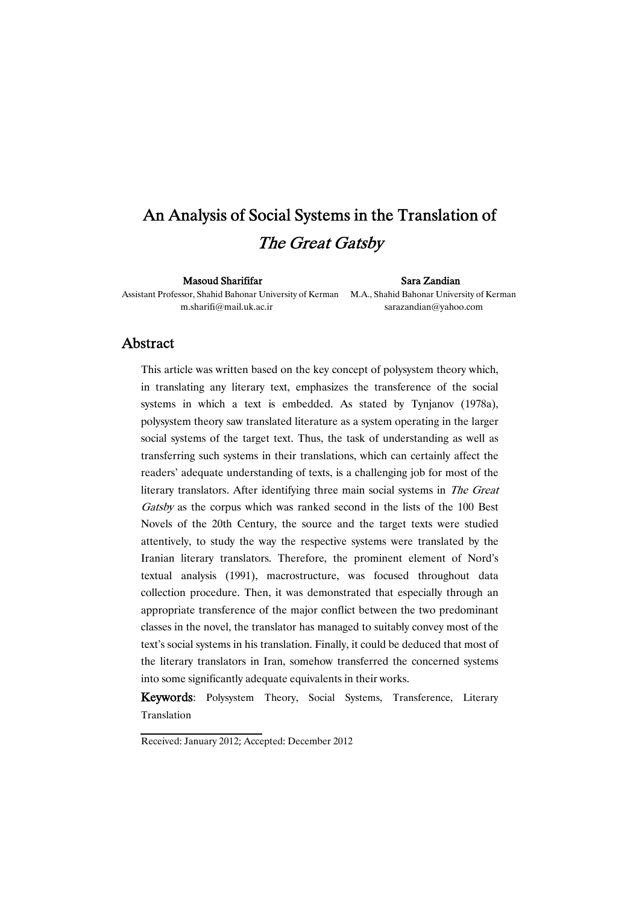# An Analysis of Social Systems in the Translation of The Great Gatsby

Masoud Sharififar Sara Zandian

Assistant Professor, Shahid Bahonar University of Kerman M.A., Shahid Bahonar University of Kerman

m.sharifi@mail.uk.ac.ir sarazandian@yahoo.com

### Abstract

This article was written based on the key concept of polysystem theory which, in translating any literary text, emphasizes the transference of the social systems in which a text is embedded. As stated by Tynjanov (1978a), polysystem theory saw translated literature as a system operating in the larger social systems of the target text. Thus, the task of understanding as well as transferring such systems in their translations, which can certainly affect the readers' adequate understanding of texts, is a challenging job for most of the literary translators. After identifying three main social systems in The Great Gatsby as the corpus which was ranked second in the lists of the 100 Best Novels of the 20th Century, the source and the target texts were studied attentively, to study the way the respective systems were translated by the Iranian literary translators. Therefore, the prominent element of Nord's textual analysis (1991), macrostructure, was focused throughout data collection procedure. Then, it was demonstrated that especially through an appropriate transference of the major conflict between the two predominant classes in the novel, the translator has managed to suitably convey most of the text's social systems in his translation. Finally, it could be deduced that most of the literary translators in Iran, somehow transferred the concerned systems into some significantly adequate equivalents in their works.

Keywords: Polysystem Theory, Social Systems, Transference, Literary Translation

Received: January 2012; Accepted: December 2012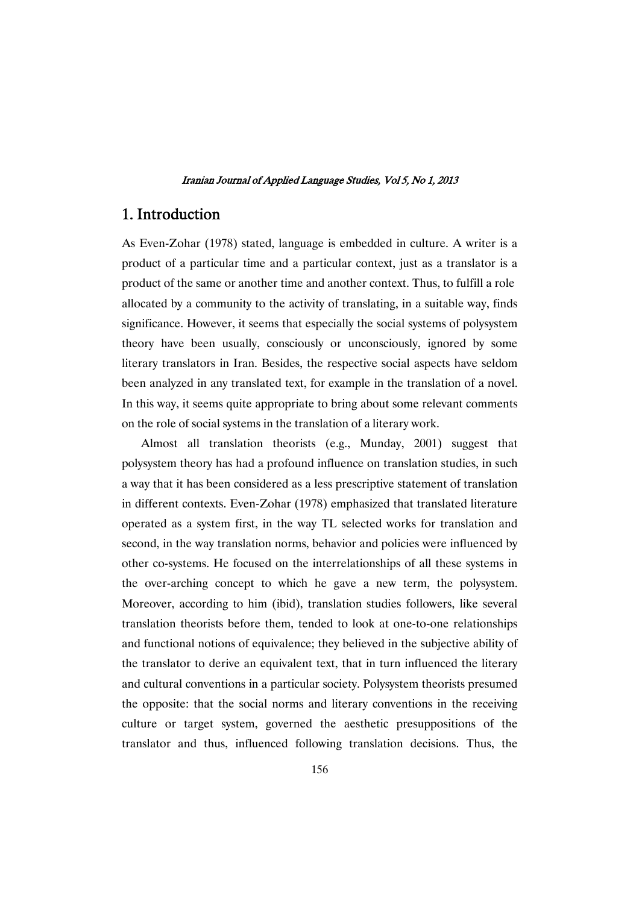### 1. Introduction

As Even-Zohar (1978) stated, language is embedded in culture. A writer is a product of a particular time and a particular context, just as a translator is a product of the same or another time and another context. Thus, to fulfill a role allocated by a community to the activity of translating, in a suitable way, finds significance. However, it seems that especially the social systems of polysystem theory have been usually, consciously or unconsciously, ignored by some literary translators in Iran. Besides, the respective social aspects have seldom been analyzed in any translated text, for example in the translation of a novel. In this way, it seems quite appropriate to bring about some relevant comments on the role of social systems in the translation of a literary work.

Almost all translation theorists (e.g., Munday, 2001) suggest that polysystem theory has had a profound influence on translation studies, in such a way that it has been considered as a less prescriptive statement of translation in different contexts. Even-Zohar (1978) emphasized that translated literature operated as a system first, in the way TL selected works for translation and second, in the way translation norms, behavior and policies were influenced by other co-systems. He focused on the interrelationships of all these systems in the over-arching concept to which he gave a new term, the polysystem. Moreover, according to him (ibid), translation studies followers, like several translation theorists before them, tended to look at one-to-one relationships and functional notions of equivalence; they believed in the subjective ability of the translator to derive an equivalent text, that in turn influenced the literary and cultural conventions in a particular society. Polysystem theorists presumed the opposite: that the social norms and literary conventions in the receiving culture or target system, governed the aesthetic presuppositions of the translator and thus, influenced following translation decisions. Thus, the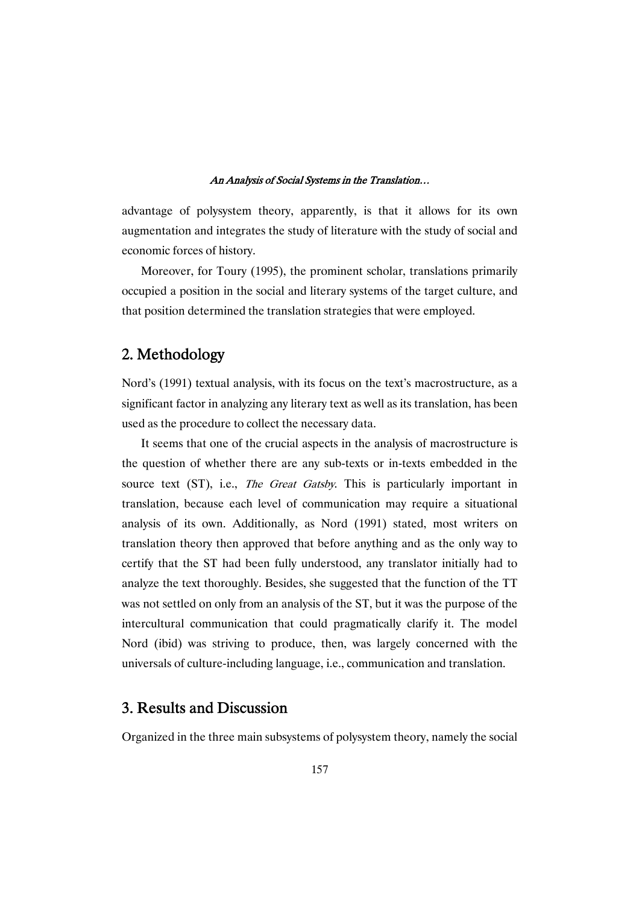advantage of polysystem theory, apparently, is that it allows for its own augmentation and integrates the study of literature with the study of social and economic forces of history.

Moreover, for Toury (1995), the prominent scholar, translations primarily occupied a position in the social and literary systems of the target culture, and that position determined the translation strategies that were employed.

# 2.Methodology

Nord's (1991) textual analysis, with its focus on the text's macrostructure, as a significant factor in analyzing any literary text as well as its translation, has been used as the procedure to collect the necessary data.

It seems that one of the crucial aspects in the analysis of macrostructure is the question of whether there are any sub-texts or in-texts embedded in the source text (ST), i.e., *The Great Gatsby*. This is particularly important in translation, because each level of communication may require a situational analysis of its own. Additionally, as Nord (1991) stated, most writers on translation theory then approved that before anything and as the only way to certify that the ST had been fully understood, any translator initially had to analyze the text thoroughly. Besides, she suggested that the function of the TT was not settled on only from an analysis of the ST, but it was the purpose of the intercultural communication that could pragmatically clarify it. The model Nord (ibid) was striving to produce, then, was largely concerned with the universals of culture-including language, i.e., communication and translation.

### 3. Results and Discussion

Organized in the three main subsystems of polysystem theory, namely the social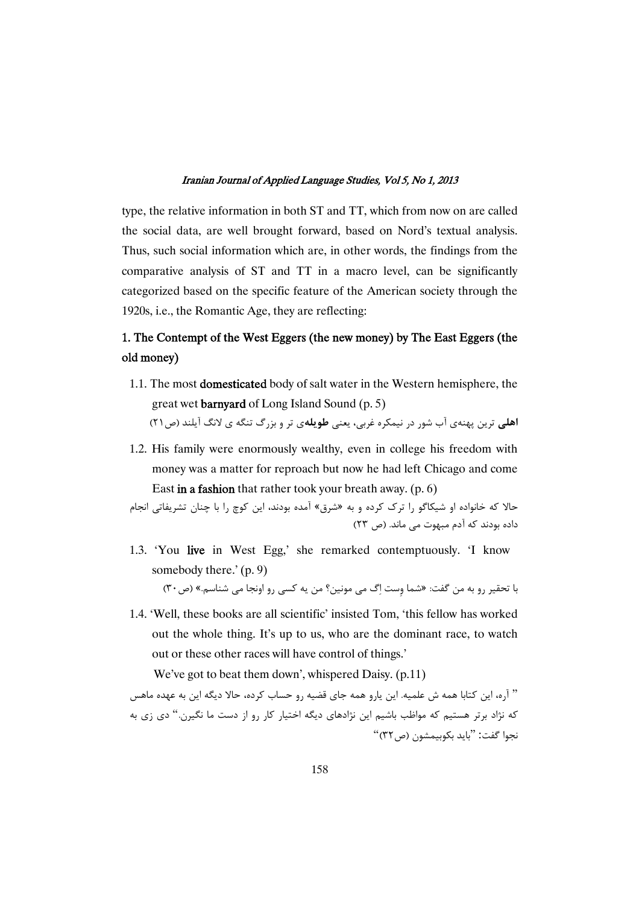type, the relative information in both ST and TT, which from now on are called the social data, are well brought forward, based on Nord's textual analysis. Thus, such social information which are, in other words, the findings from the comparative analysis of ST and TT in a macro level, can be significantly categorized based on the specific feature of the American society through the 1920s, i.e., the Romantic Age, they are reflecting:

## 1. The Contempt of the West Eggers (the new money) by The East Eggers (the old money)

- 1.1. The most domesticated body of salt water in the Western hemisphere, the great wet barnyard of Long Island Sound (p. 5) **اهلی** ترین پهنهی آب شور در نیمکره غربی، یعنی **طویله**ی تر و بزرگ تنگه ی لانگ آیلند (ص۲۱)
- 1.2. His family were enormously wealthy, even in college his freedom with money was a matter for reproach but now he had left Chicago and come East in a fashion that rather took your breath away.  $(p, 6)$

حالا که خانواده او شیکاگو را ترک کرده و به «شرق» آمده بودند، این کوچ را با چنان تشریفاتی انجام داده بودند که آدم مبهوت می ماند. (ص ۲۳)

- 1.3. 'You live in West Egg,' she remarked contemptuously. 'I know somebody there.' (p. 9) با تحقیر رو به من گفت: «شما وست اِگ می مونین؟ من یه کسی رو اونجا می شناسم.» (ص۳۰)
- 1.4. 'Well, these books are all scientific' insisted Tom, 'this fellow has worked out the whole thing. It's up to us, who are the dominant race, to watch out or these other races will have control of things.'

We've got to beat them down', whispered Daisy. (p.11)

" آره، این کتابا همه ش علمیه. این یارو همه جای قضیه رو حساب کرده، حالا دیگه این به عهده ماهس که نژاد برتر هستیم که مواظب باشیم این نژادهای دیگه اختیار کار رو از دست ما نگیرن." دی زی به نجوا گفت: "بايد بكوبيمشون (ص ٣٢)"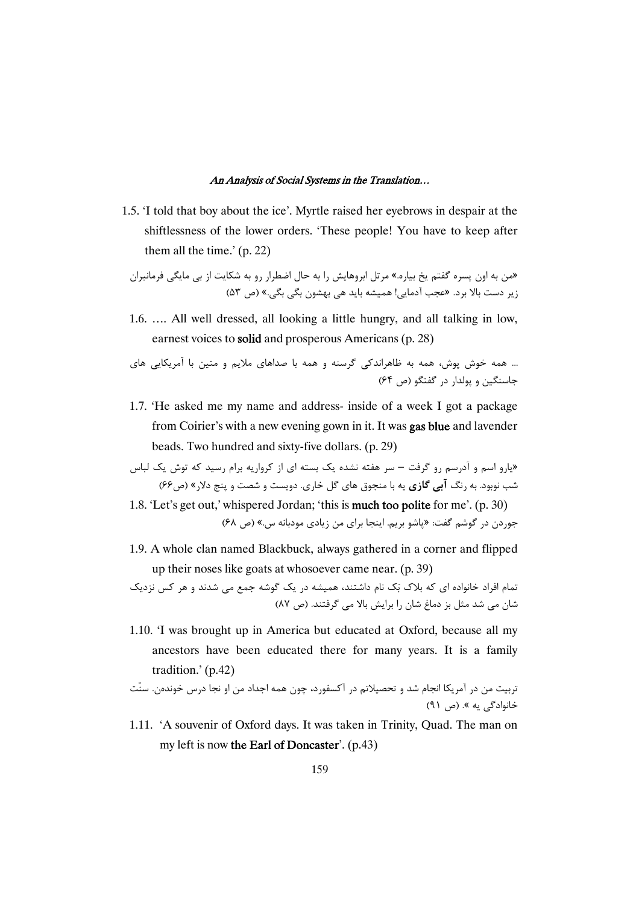1.5. 'I told that boy about the ice'. Myrtle raised her eyebrows in despair at the shiftlessness of the lower orders. 'These people! You have to keep after them all the time.' (p. 22)

«من به اون پسره گفتم یخ بیاره.» مرتل ابروهایش را به حال اضطرار رو به شکایت از بی مایگی فرمانبران زیر دست بالا برد. «عجب آدمایی! همیشه باید هی بهشون بگی بگی.» (ص ۵۳)

1.6. …. All well dressed, all looking a little hungry, and all talking in low, earnest voices to solid and prosperous Americans (p. 28)

)K )9 ) L9 " B^9 )K,\_ ) -K " -C- (,K)S - -K J J. -K ... (64 \$) L4- ,` " C)P

- 1.7. 'He asked me my name and address- inside of a week I got a package from Coirier's with a new evening gown in it. It was gas blue and lavender beads. Two hundred and sixty-five dollars. (p. 29)
- «یارو اسم و آدرسم رو گرفت سر هفته نشده یک بسته ای از کرواریه برام رسید که توش یک لباس شب نوبود. به رنگ **آبی گازی** یه با منجوق های گل خاری. دویست و شصت و پنج دلار» (ص۶۶)
- 1.8. 'Let's get out,' whispered Jordan; 'this is **much too polite** for me'. (p. 30) جوردن در گوشم گفت: «پاشو بریم. اینجا برای من زیادی مودبانه س.» (ص ۶۸)
- 1.9. A whole clan named Blackbuck, always gathered in a corner and flipped up their noses like goats at whosoever came near. (p. 39)

تمام افراد خانواده ای که بلاک بَک نام داشتند، همیشه در یک گوشه جمع می شدند و هر کس نزدیک شان می شد مثل بز دماغ شان را برایش بالا می گرفتند. (ص ۸۷)

1.10. 'I was brought up in America but educated at Oxford, because all my ancestors have been educated there for many years. It is a family tradition.' (p.42)

تربیت من در آمریکا انجام شد و تحصیلاتم در آکسفورد، چون همه اجداد من او نجا درس خوندهن. سنّت خانوادگی یه ». (ص ۹۱)

1.11. 'A souvenir of Oxford days. It was taken in Trinity, Quad. The man on my left is now the Earl of Doncaster'.  $(p.43)$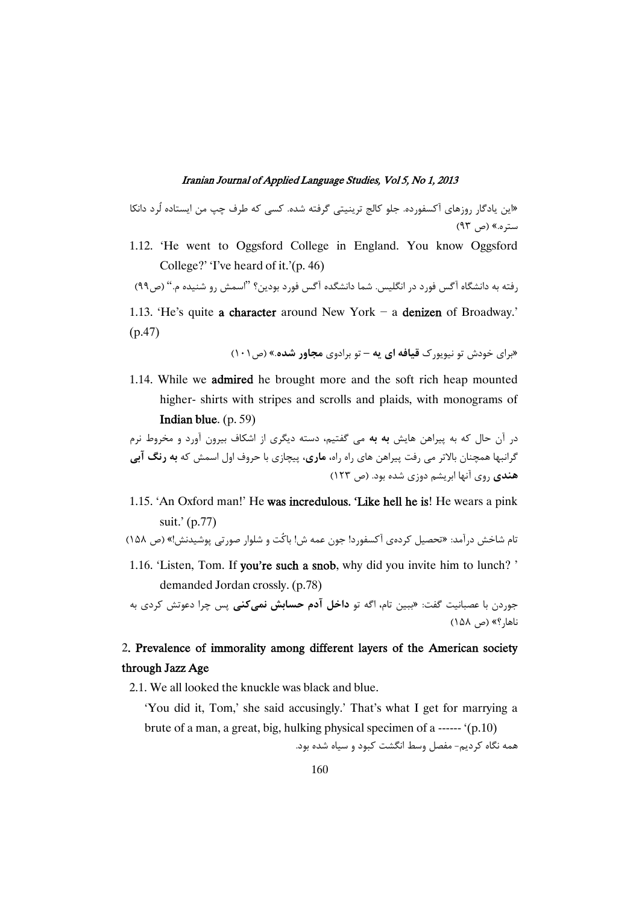«این یادگار روزهای آکسفورده. جلو کالج ترینیتی گرفته شده. کسی که طرف چپ من ایستاده لُرد دانکا ستره.» (ص ۹۳)

1.12. 'He went to Oggsford College in England. You know Oggsford College?' 'I've heard of it.'(p. 46)

رفته به دانشگاه آگس فورد در انگلیس. شما دانشگده آگس فورد بودین؟ ''اسمش رو شنیده م.'' (ص٩٩)

1.13. 'He's quite a character around New York - a denizen of Broadway.' (p.47)

«برای خودش تو نیویورک **قیافه ای یه** – تو برادوی **مجاور شده**.» (ص ۱۰۱)

1.14. While we admired he brought more and the soft rich heap mounted higher- shirts with stripes and scrolls and plaids, with monograms of Indianblue. (p. 59)

در آن حال که به پیراهن هایش **به به** می گفتیم، دسته دیگری از اشکاف بیرون آورد و مخروط نرم گرانبها همچنان بالاتر می رفت پیراهن های راه راه**، ماری،** پیچازی با حروف اول اسمش که **به رنگ آبی** هندی روی آنها ابریشم دوزی شده بود. (ص ۱۲۳)

1.15. 'An Oxford man!' He was incredulous. 'Like hell he is! He wears a pink suit.' (p.77)

تام شاخش درآمد: «تحصیل کردهی آکسفورد! جون عمه ش! باکت و شلوار صورتی پوشیدنش!» (ص ۱۵۸)

1.16. 'Listen, Tom. If you're such a snob, why did you invite him to lunch? ' demanded Jordan crossly. (p.78)

جوردن با عصبانیت گفت: «ببین تام، اگه تو **داخل ادم حسابش نمیکنی** پس چرا دعوتش کردی به ناها, ؟» (ص ١۵٨)

### 2. Prevalence of immorality among different layers of the American society through Jazz Age

2.1. We all looked the knuckle was black and blue.

'You did it, Tom,' she said accusingly.' That's what I get for marrying a brute of a man, a great, big, hulking physical specimen of a ------ '(p.10)

همه نگاه کردیم- مفصل وسط انگشت کبود و سیاه شده بود.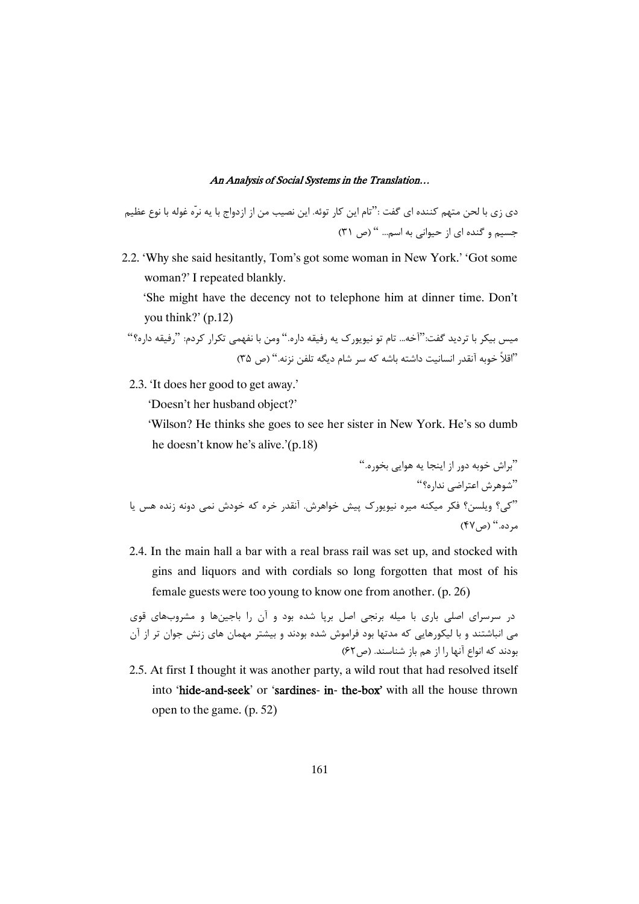دى زى با لحن متهم كننده اى گفت :''تام اين كار توئه. اين نصيب من از ازدواج با يه نرّه غوله با نوع عظيم جسیم و گنده ای از حیوانی به اسم... " (ص ٣١)

2.2. 'Why she said hesitantly, Tom's got some woman in New York.' 'Got some woman?' I repeated blankly.

'She might have the decency not to telephone him at dinner time. Don't you think?' (p.12)

میس بیکر با تردید گفت:''آخه… تام تو نیویورک یه رفیقه داره.'' ومن با نفهمی تکرار کردم: ''رفیقه داره؟'' "اقلاً خوبه آنقدر انسانيت داشته باشه كه سر شام ديگه تلفن نزنه." (ص ٣۵)

2.3. 'It does her good to get away.'

'Doesn't her husband object?'

'Wilson? He thinks she goes to see her sister in New York. He's so dumb he doesn't know he's alive.'(p.18)

".t ,K - )3, T, " -. J, " "E, X,LI, JK" ) MK T -" J. -( . ? .JK,. Z + 9 -9 V ED" E (" (47\$) ".9

2.4. In the main hall a bar with a real brass rail was set up, and stocked with gins and liquors and with cordials so long forgotten that most of his female guests were too young to know one from another. (p. 26)

در سرسرای اصلی باری با میله برنجی اصل برپا شده بود و آن را باجینها و مشروبهای قوی می انباشتند و با لیکورهایی که مدتها بود فراموش شده بودند و بیشتر مهمان های زنش جوان تر از آن بودند که انواع آنها را از هم باز شناسند. (ص۶۲)

2.5. At first I thought it was another party, a wild rout that had resolved itself into 'hide-and-seek' or 'sardines- in- the-box'with all the house thrown open to the game. (p. 52)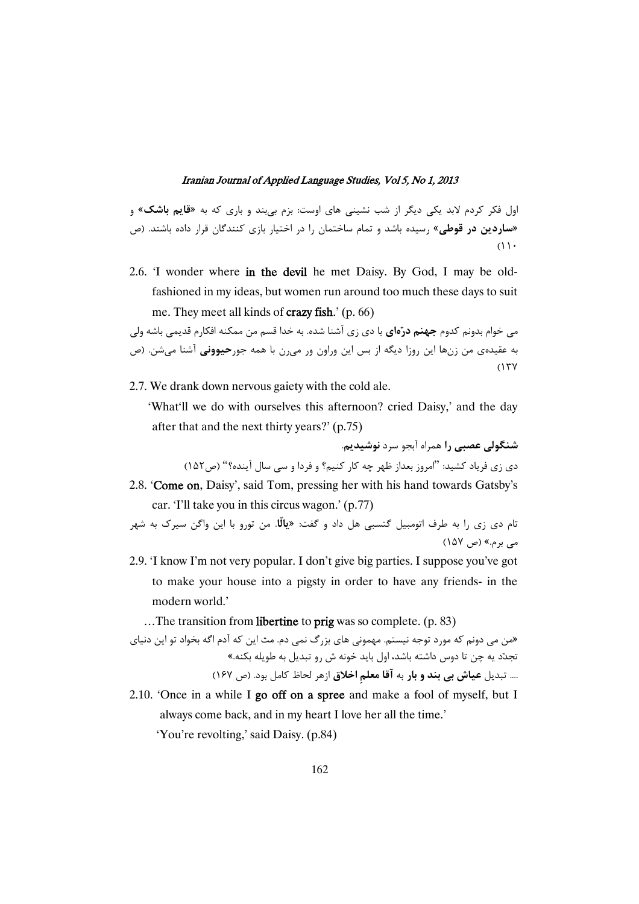اول فکر کردم لابد یکی دیگر از شب نشینی های اوست: بزم بیبند و باری که به «**قایم باشک**» و «**ساردین در قوطی**» رسیده باشد و تمام ساختمان را در اختیار بازی کنندگان قرار داده باشند. (ص  $(1)$ 

2.6. 'I wonder where in the devil he met Daisy. By God, I may be oldfashioned in my ideas, but women run around too much these days to suit me. They meet all kinds of crazyfish.' (p. 66)

می خوام بدونم کدوم **جهنم درّهای** با دی زی آشنا شده. به خدا قسم من ممکنه افکارم قدیمی باشه ولی ه عقیدهی من زنها این روزا دیگه از بس این وراون ور م<sub>عا</sub>رن با همه جور**حیوونی** آشنا میشن. (ص ė  $(17Y$ 

2.7. We drank down nervous gaiety with the cold ale.

'What'll we do with ourselves this afternoon? cried Daisy,' and the day after that and the next thirty years?' (p.75)

شنگولی عصبی را همراه آبجو سرد **نوشیدی**.

دی زی فریاد کشید: "امروز بعداز ظهر چه کار کنیم؟ و فردا و سی سال آینده؟" (ص۱۵۲)

2.8. 'Come on, Daisy', said Tom, pressing her with his hand towards Gatsby's car. 'I'll take you in this circus wagon.' (p.77)

تام دی زی را به طرف اتومبیل گتسبی هل داد و گفت: **«یالًا**. من تورو با این واگن سیرک به شهر می برم.» (ص ۱۵۷)

2.9. 'I know I'm not very popular. I don't give big parties. I suppose you've got to make your house into a pigsty in order to have any friends- in the modern world.'

…The transition from libertine to prig was so complete. (p. 83)

«من می دونم که مورد توجه نیستم. مهمونی های بزرگ نمی دم. مث این که آدم اگه بخواد تو این دنیای تجدّد یه چن تا دوس داشته باشد، اول باید خونه ش رو تبدیل به طویله بکنه.» .... تبدیل **عیاش بی بند و بار** به **آقا معلم اخلاق** ازهر لحاظ کامل بود. (ص ۱۶۷)

2.10. 'Once in a while I go off on a spree and make a fool of myself, but I always come back, and in my heart I love her all the time.' 'You're revolting,' said Daisy. (p.84)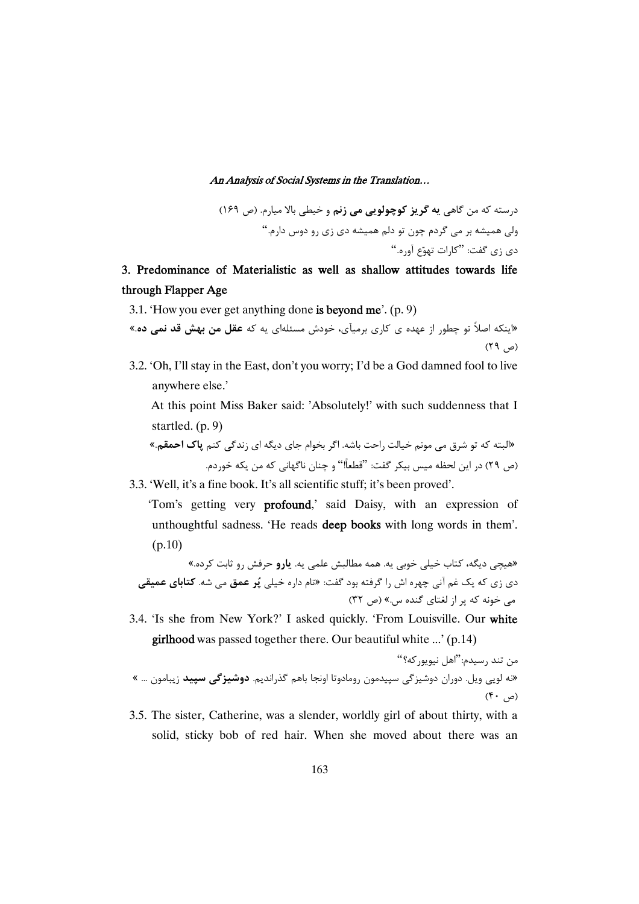درسته که من گاهی **به گریز کوچولویی می زنم** و خیطی بالا میارم. (ص ۱۶۹) ولی همیشه بر می گردم چون تو دلم همیشه دی زی رو دوس دارم."  $\cdot$ دي زي گفت: "کارات تبهوّع آوره

# 3. Predominance of Materialistic as well as shallow attitudes towards life through Flapper Age

3.1. 'How you ever get anything done is beyond me'.  $(p. 9)$ 

«اینکه اصلاً تو چطور از عهده ی کاری برمیآی، خودش مسئلهای یه که **عقل من بهش قد نمی ده**.»  $(59, 8)$ 

3.2. 'Oh, I'll stay in the East, don't you worry; I'd be a God damned fool to live anywhere else.'

At this point Miss Baker said: 'Absolutely!' with such suddenness that I startled. (p. 9)

«البته که تو شرق می مونم خیالت راحت باشه. اگر بخوام جای دیگه ای زندگی کنم **پاک احمقم**.» (ص ٢٩) در اين لحظه ميس بيكر گفت: ''قطعاً!'' و چنان ناگهاني كه من يكه خوردم.

- 3.3. 'Well, it's a fine book. It's all scientific stuff; it's been proved'.
	- 'Tom's getting very profound,' said Daisy, with an expression of unthoughtful sadness. 'He reads deep books with long words in them'. (p.10)

«هیچی دیگه، کتاب خیلی خوبی یه. همه مطالبش علمی یه. **یارو** حرفش رو ثابت کرده.» دی زی که یک غم آنی چهره اش را گرفته بود گفت: «تام داره خیلی **پُر عمق** می شه. **کتابای عمیقی** می خونه که پر از لغتای گنده س.» (ص ۳۲)

3.4. 'Is she from New York?' I asked quickly. 'From Louisville. Our white girlhood was passed together there. Our beautiful white ...' (p.14)

من تند رسيدم:"اهل نيويوركه؟" «نه لویی ویل. دوران دوشیزگی سپیدمون رومادوتا اونجا باهم گذراندیم. **دوشیزگی سپید** زیبامون … »  $($ م  $\cdot$   $\uparrow$   $\circ$ 

3.5. The sister, Catherine, was a slender, worldly girl of about thirty, with a solid, sticky bob of red hair. When she moved about there was an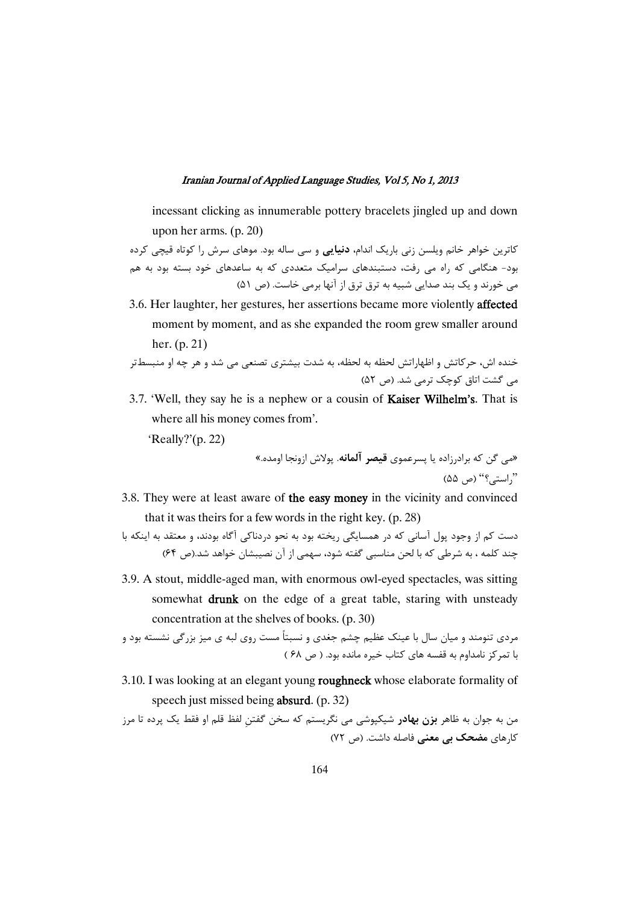incessant clicking as innumerable pottery bracelets jingled up and down upon her arms. (p. 20)

کاترین خواهر خانم ویلسن زنی باریک اندام**، دنیایی** و سی ساله بود. موهای سرش را کوتاه قیچی کرده بود- هنگامی که راه می رفت، دستبندهای سرامیک متعددی که به ساعدهای خود بسته بود به هم می خورند و یک بند صدایی شبیه به ترق ترق از آنها برمی خاست. (ص ۵۱)

3.6. Her laughter, her gestures, her assertions became more violently affected moment by moment, and as she expanded the room grew smaller around her. (p. 21)

خنده اش، حرکاتش و اظهاراتش لحظه به لحظه، به شدت بیشتری تصنعی می شد و هر چه او منبسطتر می گشت اتاق کوچک ترمی شد. (ص ۵۲)

3.7. 'Well, they say he is a nephew or a cousin of **Kaiser Wilhelm's**. That is where all his money comes from'.

'Really?'(p. 22)

«مي گن كه برادرزاده يا پسرعموي **قيصر آلمانه**. پولاش ازونجا اومده.» "راستي؟" (ص ۵۵)

3.8. They were at least aware of the easy money in the vicinity and convinced that it was theirs for a few words in the right key. (p. 28)

دست کم از وجود پول آسانی که در همسایگی ریخته بود به نحو دردناکی آگاه بودند، و معتقد به اینکه با چند کلمه ، به شرطی که با لحن مناسبی گفته شود، سهمی از آن نصیبشان خواهد شد.(ص ۶۴)

3.9. A stout, middle-aged man, with enormous owl-eyed spectacles, was sitting somewhat drunk on the edge of a great table, staring with unsteady concentration at the shelves of books. (p. 30)

مردی تنومند و میان سال با عینک عظیم چشم جغدی و نسبتاً مست روی لبه ی میز بزرگی نشسته بود و با تمرکز نامداوم به قفسه های کتاب خیره مانده بود. ( ص ۶۸ )

3.10. I was looking at an elegant young roughneck whose elaborate formality of speech just missed being absurd. (p. 32)

من به جوان به ظاهر **بزن بهادر** شیکپوشی می نگریستم که سخن گفتن لفظ قلم او فقط یک پرده تا مرز کارهای **مضحک بی معنی** فاصله داشت. (ص ۷۲)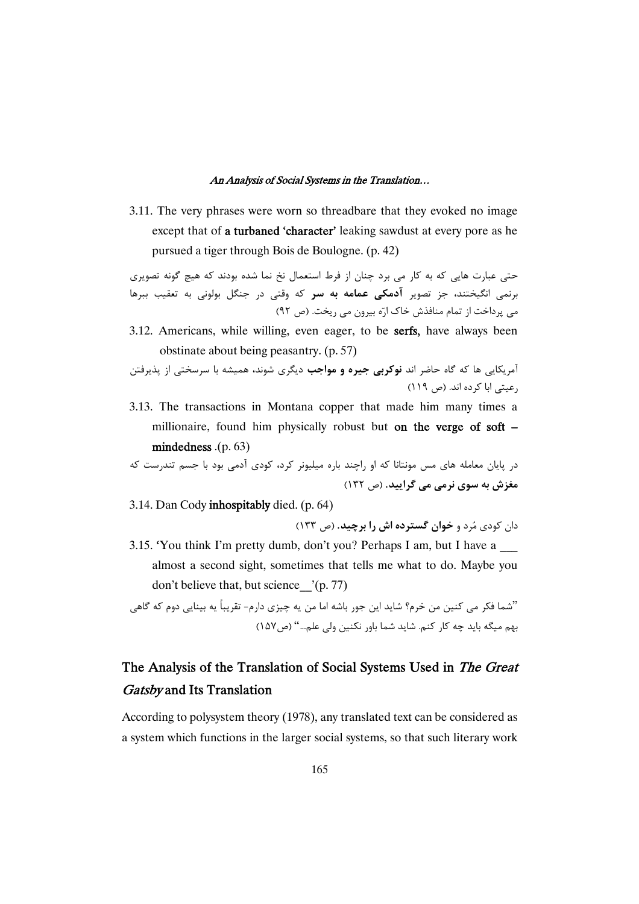3.11. The very phrases were worn so threadbare that they evoked no image except that of a turbaned'character' leaking sawdust at every pore as he pursued a tiger through Bois de Boulogne. (p. 42)

حتی عبارت هایی که به کار می برد چنان از فرط استعمال نخ نما شده بودند که هیچ گونه تصویری برنمی انگیختند، جز تصویر **ادمکی عمامه به سر** که وقتی در جنگل بولونی به تعقیب ببرها می پرداخت از تمام منافذش خاک ارّه بیرون می ریخت. (ص ۹۲)

3.12. Americans, while willing, even eager, to be serfs, have always been obstinate about being peasantry. (p. 57)

آمریکایی ها که گاه حاضر اند **نوکربی جیره و مواجب** دیگری شوند، همیشه با سرسختی از پذیرفتن رعیتی ابا کرده اند. (ص ۱۱۹)

3.13. The transactions in Montana copper that made him many times a millionaire, found him physically robust but on the verge of soft – mindedness .(p. 63)

-( >C BDP ) 9 ( ( 9 ) 7, ", -( ))L9 M9 )K -9)9 6)) (132 \$) .**: : ) 39G**

3.14. Dan Cody inhospitably died. (p. 64)

دان کودی مُرد و **خوان گسترده اش را برچید.** (ص ١٣٣)

3.15. 'You think I'm pretty dumb, don't you? Perhaps I am, but I have a \_\_\_ almost a second sight, sometimes that tells me what to do. Maybe you don't believe that, but science\_\_'(p. 77)

"شما فكر مي كنين من خرم؟ شايد اين جور باشه اما من يه چيزي دارم- تقريباً يه بينايي دوم كه گاهي بهم میگه باید چه کار کنم. شاید شما باور نکنین ولی علم…" (ص۱۵۷)

# The Analysis of the Translation of Social Systems Used in The Great Gatsby and Its Translation

According to polysystem theory (1978), any translated text can be considered as a system which functions in the larger social systems, so that such literary work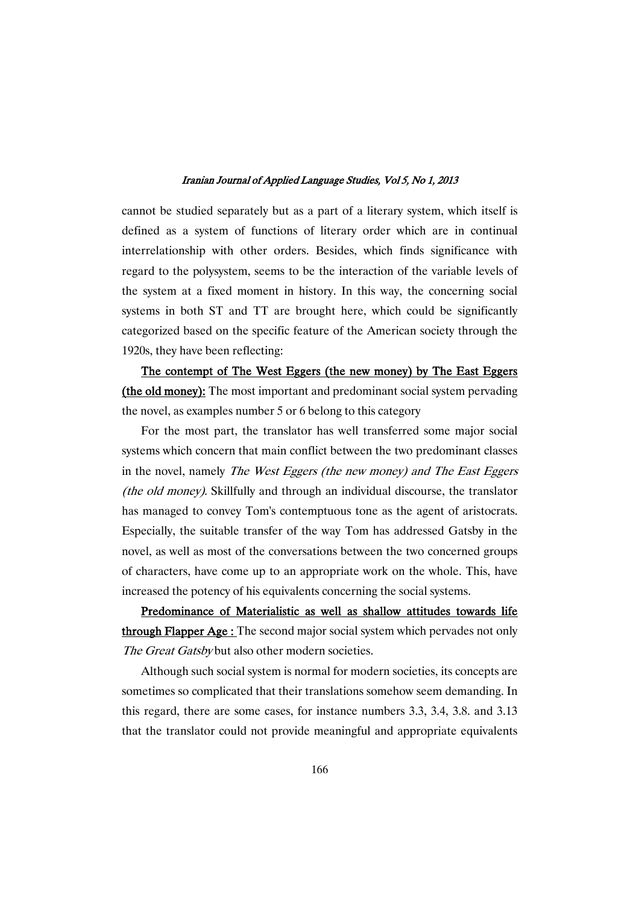cannot be studied separately but as a part of a literary system, which itself is defined as a system of functions of literary order which are in continual interrelationship with other orders. Besides, which finds significance with regard to the polysystem, seems to be the interaction of the variable levels of the system at a fixed moment in history. In this way, the concerning social systems in both ST and TT are brought here, which could be significantly categorized based on the specific feature of the American society through the 1920s, they have been reflecting:

The contempt of The West Eggers (the new money) by The East Eggers (the old money): The most important and predominant social system pervading the novel, as examples number 5 or 6 belong to this category

For the most part, the translator has well transferred some major social systems which concern that main conflict between the two predominant classes in the novel, namely The West Eggers (the new money) and The East Eggers (the old money). Skillfully and through an individual discourse, the translator has managed to convey Tom's contemptuous tone as the agent of aristocrats. Especially, the suitable transfer of the way Tom has addressed Gatsby in the novel, as well as most of the conversations between the two concerned groups of characters, have come up to an appropriate work on the whole. This, have increased the potency of his equivalents concerning the social systems.

Predominance of Materialistic as well as shallow attitudes towards life through Flapper Age: The second major social system which pervades not only The Great Gatsby but also other modern societies.

Although such social system is normal for modern societies, its concepts are sometimes so complicated that their translations somehow seem demanding. In this regard, there are some cases, for instance numbers 3.3, 3.4, 3.8. and 3.13 that the translator could not provide meaningful and appropriate equivalents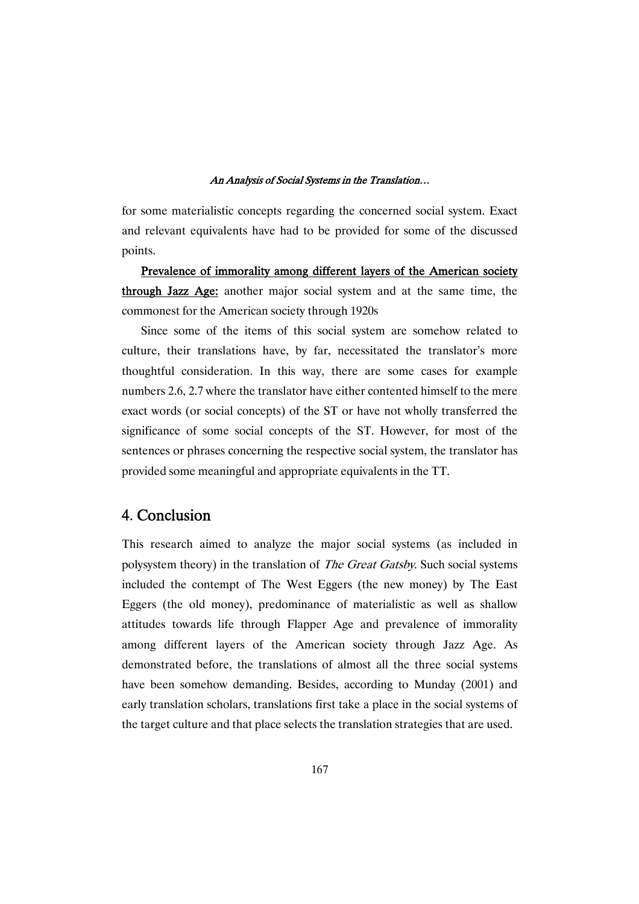for some materialistic concepts regarding the concerned social system. Exact and relevant equivalents have had to be provided for some of the discussed points.

Prevalence of immorality among different layers of the American society through Jazz Age: another major social system and at the same time, the commonest for the American society through 1920s

Since some of the items of this social system are somehow related to culture, their translations have, by far, necessitated the translator's more thoughtful consideration. In this way, there are some cases for example numbers 2.6, 2.7 where the translator have either contented himself to the mere exact words (or social concepts) of the ST or have not wholly transferred the significance of some social concepts of the ST. However, for most of the sentences or phrases concerning the respective social system, the translator has provided some meaningful and appropriate equivalents in the TT.

## 4. Conclusion

This research aimed to analyze the major social systems (as included in polysystem theory) in the translation of *The Great Gatsby*. Such social systems included the contempt of The West Eggers (the new money) by The East Eggers (the old money), predominance of materialistic as well as shallow attitudes towards life through Flapper Age and prevalence of immorality among different layers of the American society through Jazz Age. As demonstrated before, the translations of almost all the three social systems have been somehow demanding. Besides, according to Munday (2001) and early translation scholars, translations first take a place in the social systems of the target culture and that place selects the translation strategies that are used.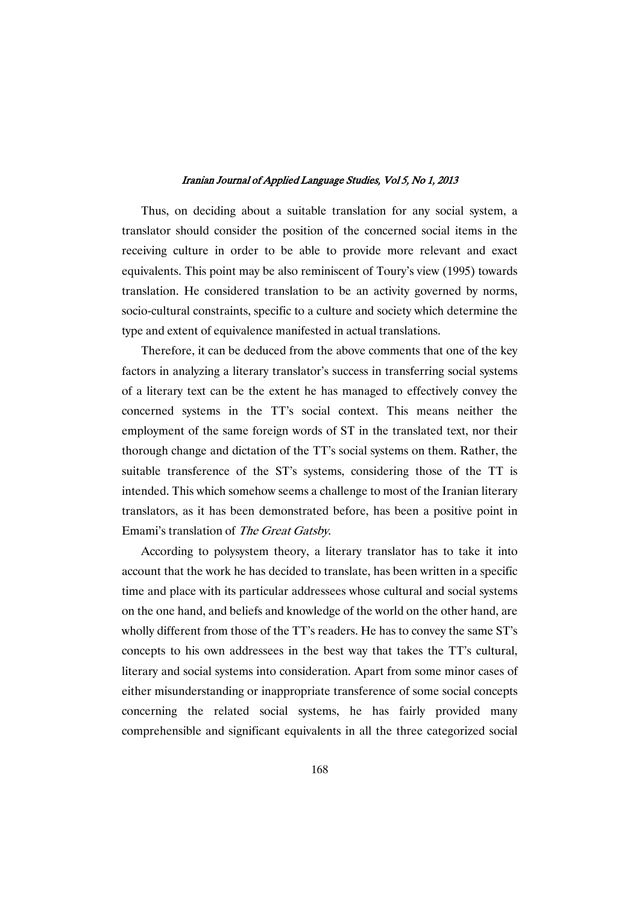Thus, on deciding about a suitable translation for any social system, a translator should consider the position of the concerned social items in the receiving culture in order to be able to provide more relevant and exact equivalents. This point may be also reminiscent of Toury's view (1995) towards translation. He considered translation to be an activity governed by norms, socio-cultural constraints, specific to a culture and society which determine the type and extent of equivalence manifested in actual translations.

Therefore, it can be deduced from the above comments that one of the key factors in analyzing a literary translator's success in transferring social systems of a literary text can be the extent he has managed to effectively convey the concerned systems in the TT's social context. This means neither the employment of the same foreign words of ST in the translated text, nor their thorough change and dictation of the TT's social systems on them. Rather, the suitable transference of the ST's systems, considering those of the TT is intended. This which somehow seems a challenge to most of the Iranian literary translators, as it has been demonstrated before, has been a positive point in Emami's translation of The Great Gatsby.

According to polysystem theory, a literary translator has to take it into account that the work he has decided to translate, has been written in a specific time and place with its particular addressees whose cultural and social systems on the one hand, and beliefs and knowledge of the world on the other hand, are wholly different from those of the TT's readers. He has to convey the same ST's concepts to his own addressees in the best way that takes the TT's cultural, literary and social systems into consideration. Apart from some minor cases of either misunderstanding or inappropriate transference of some social concepts concerning the related social systems, he has fairly provided many comprehensible and significant equivalents in all the three categorized social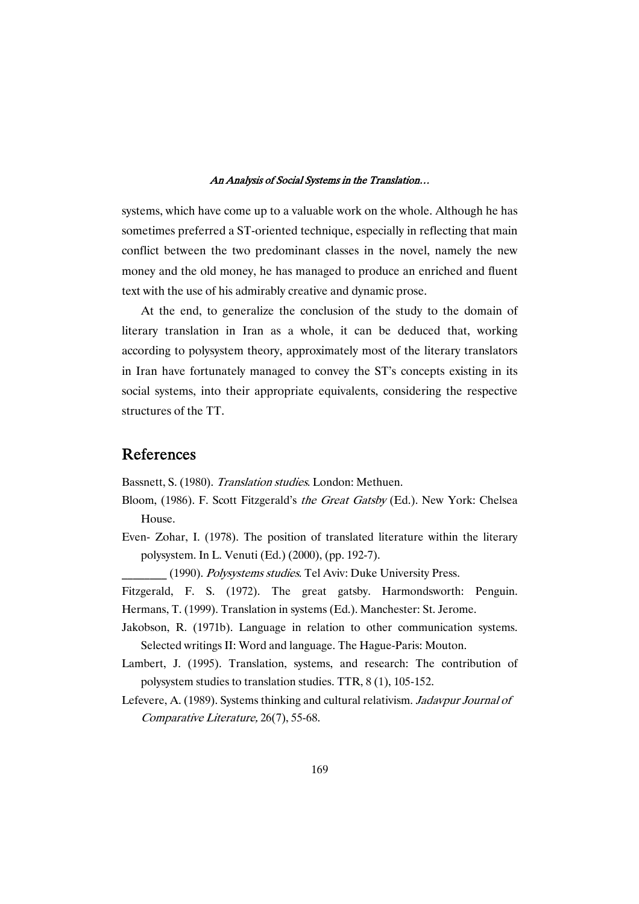systems, which have come up to a valuable work on the whole. Although he has sometimes preferred a ST-oriented technique, especially in reflecting that main conflict between the two predominant classes in the novel, namely the new money and the old money, he has managed to produce an enriched and fluent text with the use of his admirably creative and dynamic prose.

At the end, to generalize the conclusion of the study to the domain of literary translation in Iran as a whole, it can be deduced that, working according to polysystem theory, approximately most of the literary translators in Iran have fortunately managed to convey the ST's concepts existing in its social systems, into their appropriate equivalents, considering the respective structures of the TT.

### References

Bassnett, S. (1980). Translation studies. London: Methuen.

- Bloom, (1986). F. Scott Fitzgerald's the Great Gatsby (Ed.). New York: Chelsea House.
- Even- Zohar, I. (1978). The position of translated literature within the literary polysystem. In L. Venuti (Ed.) (2000), (pp. 192-7).
	- (1990). Polysystems studies. Tel Aviv: Duke University Press.
- Fitzgerald, F. S. (1972). The great gatsby. Harmondsworth: Penguin. Hermans, T. (1999). Translation in systems (Ed.). Manchester: St. Jerome.
- Jakobson, R. (1971b). Language in relation to other communication systems. Selected writings II: Word and language. The Hague-Paris: Mouton.
- Lambert, J. (1995). Translation, systems, and research: The contribution of polysystem studies to translation studies. TTR, 8 (1), 105-152.
- Lefevere, A. (1989). Systems thinking and cultural relativism. Jadavpur Journal of Comparative Literature, 26(7), 55-68.